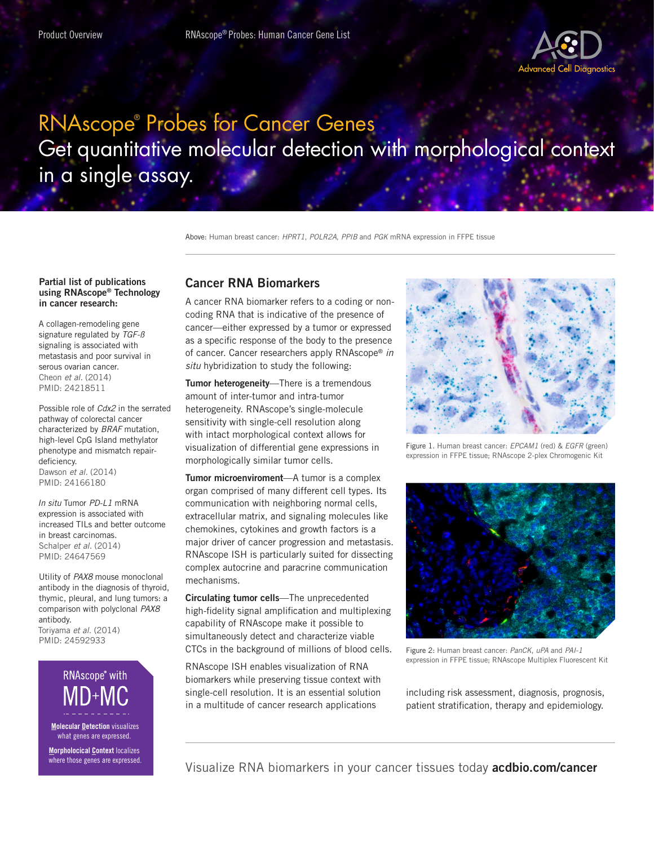

## RNAscope® Probes for Cancer Genes Get quantitative molecular detection with morphological context in a single assay.

Above: Human breast cancer: *HPRT1*, *POLR2A*, *PPIB* and *PGK* mRNA expression in FFPE tissue

## Partial list of publications using RNAscope® Technology in cancer research:

A collagen-remodeling gene signature regulated by *TGF-ß* signaling is associated with metastasis and poor survival in serous ovarian cancer. Cheon *et al.* (2014) PMID: 24218511

Possible role of *Cdx2* in the serrated pathway of colorectal cancer characterized by *BRAF* mutation, high-level CpG Island methylator phenotype and mismatch repairdeficiency. Dawson *et al.* (2014) PMID: 24166180

*In situ* Tumor *PD-L1* mRNA expression is associated with increased TILs and better outcome in breast carcinomas. Schalper *et al.* (2014) PMID: 24647569

Utility of *PAX8* mouse monoclonal antibody in the diagnosis of thyroid, thymic, pleural, and lung tumors: a comparison with polyclonal *PAX8* antibody. Toriyama *et al.* (2014) PMID: 24592933

RNAscope<sup>®</sup> with

**Molecular Detection** visualizes what genes are expressed.

**Morpholocical Context localizes** where those genes are expressed.

## Cancer RNA Biomarkers

A cancer RNA biomarker refers to a coding or noncoding RNA that is indicative of the presence of cancer—either expressed by a tumor or expressed as a specific response of the body to the presence of cancer. Cancer researchers apply RNAscope® *in situ* hybridization to study the following:

Tumor heterogeneity-There is a tremendous amount of inter-tumor and intra-tumor heterogeneity. RNAscope's single-molecule sensitivity with single-cell resolution along with intact morphological context allows for visualization of differential gene expressions in morphologically similar tumor cells.

**Tumor microenviroment—A** tumor is a complex organ comprised of many different cell types. Its communication with neighboring normal cells, extracellular matrix, and signaling molecules like chemokines, cytokines and growth factors is a major driver of cancer progression and metastasis. RNAscope ISH is particularly suited for dissecting complex autocrine and paracrine communication mechanisms.

Circulating tumor cells—The unprecedented high-fidelity signal amplification and multiplexing capability of RNAscope make it possible to simultaneously detect and characterize viable CTCs in the background of millions of blood cells.

RNAscope ISH enables visualization of RNA biomarkers while preserving tissue context with single-cell resolution. It is an essential solution in a multitude of cancer research applications



Figure 1. Human breast cancer: *EPCAM1* (red) & *EGFR* (green) expression in FFPE tissue; RNAscope 2-plex Chromogenic Kit



Figure 2: Human breast cancer: *PanCK*, *uPA* and *PAI-1*  expression in FFPE tissue; RNAscope Multiplex Fluorescent Kit

including risk assessment, diagnosis, prognosis, patient stratification, therapy and epidemiology.

Visualize RNA biomarkers in your cancer tissues today **acdbio.com/cancer**